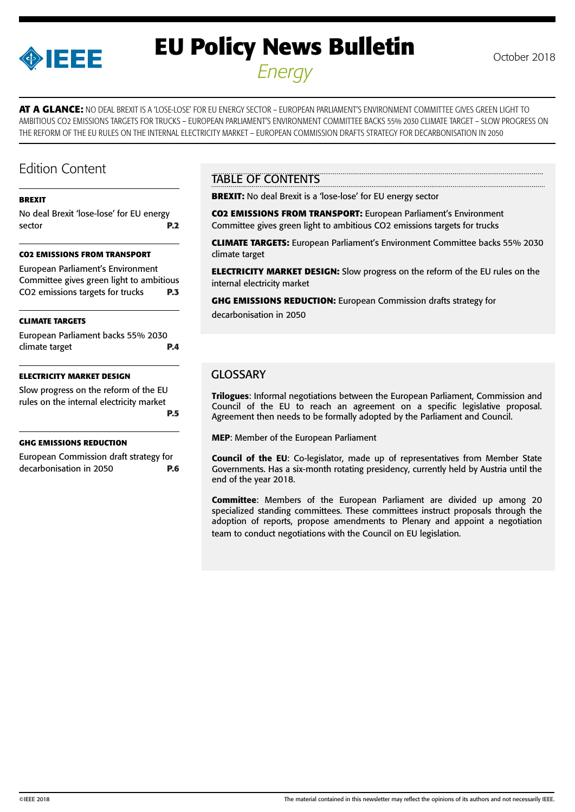

# **EU Policy News Bulletin** October 2018 *Energy*

**AT A GLANCE:** NO DEAL BREXIT IS A 'LOSE-LOSE' FOR EU ENERGY SECTOR – EUROPEAN PARLIAMENT'S ENVIRONMENT COMMITTEE GIVES GREEN LIGHT TO AMBITIOUS CO2 EMISSIONS TARGETS FOR TRUCKS – EUROPEAN PARLIAMENT'S ENVIRONMENT COMMITTEE BACKS 55% 2030 CLIMATE TARGET – SLOW PROGRESS ON THE REFORM OF THE EU RULES ON THE INTERNAL ELECTRICITY MARKET – EUROPEAN COMMISSION DRAFTS STRATEGY FOR DECARBONISATION IN 2050

## Edition Content

#### **[BREXIT](#page-1-0)**

[No deal Brexit 'lose-lose' for EU energy](#page-1-0)  [sector](#page-1-0) **P.2** 

#### **[CO2 EMISSIONS FROM TRANSPORT](#page-2-0)**

[European Parliament's Environment](#page-2-0)  [Committee gives green light to ambitious](#page-2-0)  [CO2 emissions targets for trucks](#page-2-0) **P.3**

#### **[CLIMATE TARGETS](#page-3-0)**

| European Parliament backs 55% 2030 |            |
|------------------------------------|------------|
| climate target                     | <b>P.4</b> |

#### **[ELECTRICITY MARKET DESIGN](#page-4-0)**

[Slow progress on the reform of the EU](#page-4-0)  [rules on the internal electricity market](#page-4-0)  **[P.5](#page-4-0)**

#### **[GHG EMISSIONS REDUCTION](#page-5-0)**

[European Commission draft strategy for](#page-5-0)  [decarbonisation in 2050](#page-5-0) **P.6**

## TABLE OF CONTENTS

**BREXIT:** No deal Brexit is a 'lose-lose' for EU energy sector

**CO2 EMISSIONS FROM TRANSPORT:** European Parliament's Environment Committee gives green light to ambitious CO2 emissions targets for trucks

**CLIMATE TARGETS:** European Parliament's Environment Committee backs 55% 2030 climate target

**ELECTRICITY MARKET DESIGN:** Slow progress on the reform of the EU rules on the internal electricity market

**GHG EMISSIONS REDUCTION:** European Commission drafts strategy for

decarbonisation in 2050

## **GLOSSARY**

Trilogues: Informal negotiations between the European Parliament, Commission and Council of the EU to reach an agreement on a specific legislative proposal. Agreement then needs to be formally adopted by the Parliament and Council.

MEP: Member of the European Parliament

Council of the EU: Co-legislator, made up of representatives from Member State Governments. Has a six-month rotating presidency, currently held by Austria until the end of the year 2018.

Committee: Members of the European Parliament are divided up among 20 specialized standing committees. These committees instruct proposals through the adoption of reports, propose amendments to Plenary and appoint a negotiation team to conduct negotiations with the Council on EU legislation.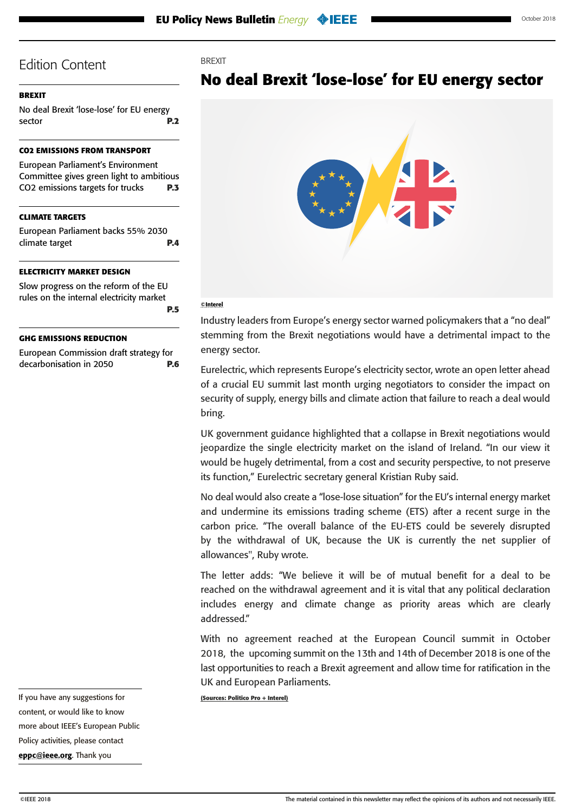#### <span id="page-1-0"></span>**BREXIT**

No deal Brexit 'lose-lose' for EU energy sector **P.2**

#### **[CO2 EMISSIONS FROM TRANSPORT](#page-2-0)**

[European Parliament's Environment](#page-2-0)  [Committee gives green light to ambitious](#page-2-0)  [CO2 emissions targets for trucks](#page-2-0) **P.3**

#### **[CLIMATE TARGETS](#page-3-0)**

[European Parliament backs 55% 2030](#page-3-0)  [climate target](#page-3-0) **P.4**

#### **[ELECTRICITY MARKET DESIGN](#page-4-0)**

[Slow progress on the reform of the EU](#page-4-0)  [rules on the internal electricity market](#page-4-0)  **[P.5](#page-4-0)**

#### **[GHG EMISSIONS REDUCTION](#page-5-0)**

[European Commission draft strategy for](#page-5-0)  [decarbonisation in 2050](#page-5-0) **P.6**





#### ©Interel

**BREXIT** 

Industry leaders from Europe's energy sector warned policymakers that a "no deal" stemming from the Brexit negotiations would have a detrimental impact to the energy sector.

Eurelectric, which represents Europe's electricity sector, wrote an open letter ahead of a crucial EU summit last month urging negotiators to consider the impact on security of supply, energy bills and climate action that failure to reach a deal would bring.

UK government guidance highlighted that a collapse in Brexit negotiations would jeopardize the single electricity market on the island of Ireland. "In our view it would be hugely detrimental, from a cost and security perspective, to not preserve its function," Eurelectric secretary general Kristian Ruby said.

No deal would also create a "lose-lose situation" for the EU's internal energy market and undermine its emissions trading scheme (ETS) after a recent surge in the carbon price. "The overall balance of the EU-ETS could be severely disrupted by the withdrawal of UK, because the UK is currently the net supplier of allowances", Ruby wrote.

The letter adds: "We believe it will be of mutual benefit for a deal to be reached on the withdrawal agreement and it is vital that any political declaration includes energy and climate change as priority areas which are clearly addressed."

With no agreement reached at the European Council summit in October 2018, the upcoming summit on the 13th and 14th of December 2018 is one of the last opportunities to reach a Brexit agreement and allow time for ratification in the UK and European Parliaments.

**(Sources: Politico Pro + Interel)**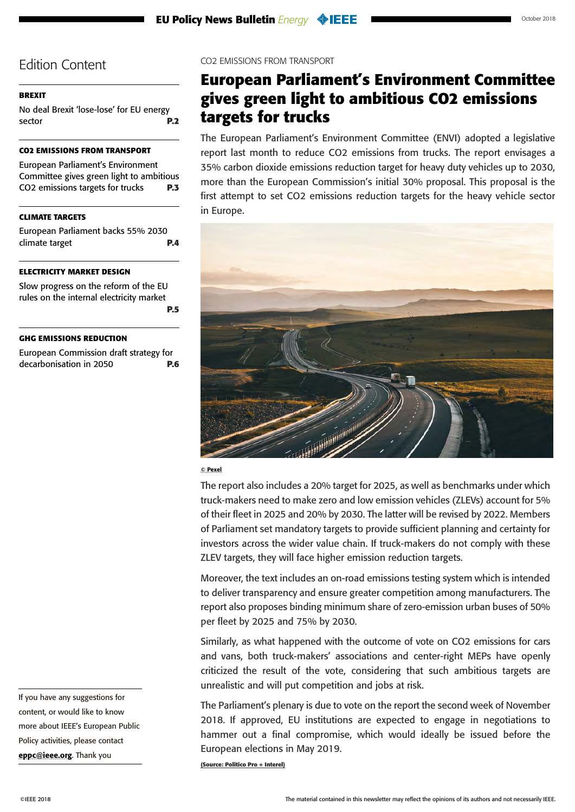### <span id="page-2-0"></span>**[BREXIT](#page-1-0)**

[No deal Brexit 'lose-lose' for EU energy](#page-1-0)  [sector](#page-1-0) **P.2**

## **CO2 EMISSIONS FROM TRANSPORT**

European Parliament's Environment Committee gives green light to ambitious CO2 emissions targets for trucks **P.3**

## **[CLIMATE TARGETS](#page-3-0)**

[European Parliament backs 55% 2030](#page-3-0)  [climate target](#page-3-0) **P.4**

#### **[ELECTRICITY MARKET DESIGN](#page-4-0)**

[Slow progress on the reform of the EU](#page-4-0)  [rules on the internal electricity market](#page-4-0)  **[P.5](#page-4-0)**

#### **[GHG EMISSIONS REDUCTION](#page-5-0)**

[European Commission draft strategy for](#page-5-0)  [decarbonisation in 2050](#page-5-0) **P.6** CO2 EMISSIONS FROM TRANSPORT

## **European Parliament's Environment Committee gives green light to ambitious CO2 emissions targets for trucks**

The European Parliament's Environment Committee (ENVI) adopted a legislative report last month to reduce CO2 emissions from trucks. The report envisages a 35% carbon dioxide emissions reduction target for heavy duty vehicles up to 2030, more than the European Commission's initial 30% proposal. This proposal is the first attempt to set CO2 emissions reduction targets for the heavy vehicle sector in Europe.



#### © Pexel

The report also includes a 20% target for 2025, as well as benchmarks under which truck-makers need to make zero and low emission vehicles (ZLEVs) account for 5% of their fleet in 2025 and 20% by 2030. The latter will be revised by 2022. Members of Parliament set mandatory targets to provide sufficient planning and certainty for investors across the wider value chain. If truck-makers do not comply with these ZLEV targets, they will face higher emission reduction targets.

Moreover, the text includes an on-road emissions testing system which is intended to deliver transparency and ensure greater competition among manufacturers. The report also proposes binding minimum share of zero-emission urban buses of 50% per fleet by 2025 and 75% by 2030.

Similarly, as what happened with the outcome of vote on CO2 emissions for cars and vans, both truck-makers' associations and center-right MEPs have openly criticized the result of the vote, considering that such ambitious targets are unrealistic and will put competition and jobs at risk.

The Parliament's plenary is due to vote on the report the second week of November 2018. If approved, EU institutions are expected to engage in negotiations to hammer out a final compromise, which would ideally be issued before the European elections in May 2019.

**(Source: Politico Pro + Interel)**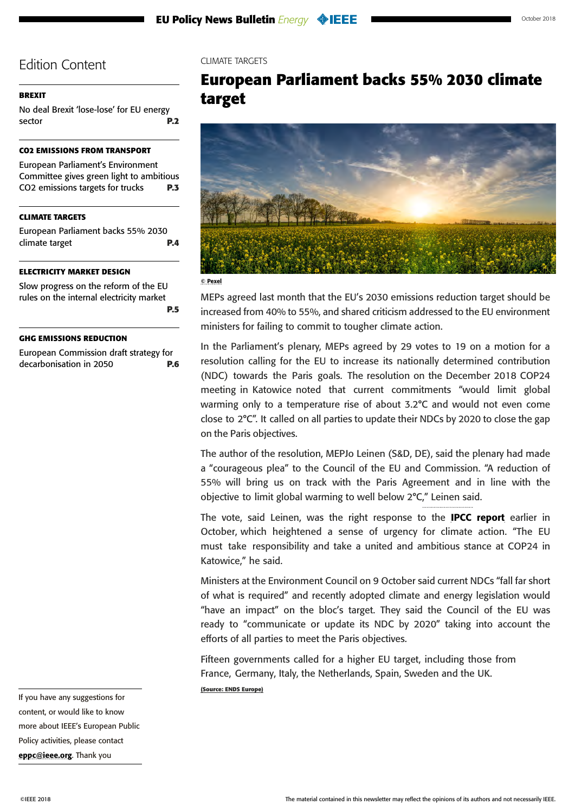### <span id="page-3-0"></span>**[BREXIT](#page-1-0)**

[No deal Brexit 'lose-lose' for EU energy](#page-1-0)  [sector](#page-1-0) **P.2**

### **[CO2 EMISSIONS FROM TRANSPORT](#page-2-0)**

[European Parliament's Environment](#page-2-0)  [Committee gives green light to ambitious](#page-2-0)  [CO2 emissions targets for trucks](#page-2-0) **P.3**

## **CLIMATE TARGETS**

European Parliament backs 55% 2030 climate target **P.4**

#### **[ELECTRICITY MARKET DESIGN](#page-4-0)**

[Slow progress on the reform of the EU](#page-4-0)  [rules on the internal electricity market](#page-4-0)  **[P.5](#page-4-0)**

#### **[GHG EMISSIONS REDUCTION](#page-5-0)**

[European Commission draft strategy for](#page-5-0)  [decarbonisation in 2050](#page-5-0) **P.6** CLIMATE TARGETS

## **European Parliament backs 55% 2030 climate target**



#### © Pexel

MEPs agreed last month that the EU's 2030 emissions reduction target should be increased from 40% to 55%, and shared criticism addressed to the EU environment ministers for failing to commit to tougher climate action.

In the Parliament's plenary, MEPs agreed by 29 votes to 19 on a motion for a resolution calling for the EU to increase its nationally determined contribution (NDC) towards the Paris goals. The resolution on the December 2018 COP24 meeting in Katowice noted that current commitments "would limit global warming only to a temperature rise of about 3.2°C and would not even come close to 2°C". It called on all parties to update their NDCs by 2020 to close the gap on the Paris objectives.

The author of the resolution, MEPJo Leinen (S&D, DE), said the plenary had made a "courageous plea" to the Council of the EU and Commission. "A reduction of 55% will bring us on track with the Paris Agreement and in line with the objective to limit global warming to well below 2°C," Leinen said.

The vote, said Leinen, was the right response to the **[IPCC report](http://report.ipcc.ch/sr15/pdf/sr15_spm_final.pdf)** earlier in October, which heightened a sense of urgency for climate action. "The EU must take responsibility and take a united and ambitious stance at COP24 in Katowice," he said.

Ministers at the Environment Council on 9 October said current NDCs "fall far short of what is required" and recently adopted climate and energy legislation would "have an impact" on the bloc's target. They said the Council of the EU was ready to "communicate or update its NDC by 2020" taking into account the efforts of all parties to meet the Paris objectives.

Fifteen governments called for a higher EU target, including those from France, Germany, Italy, the Netherlands, Spain, Sweden and the UK. **(Source: ENDS Europe)**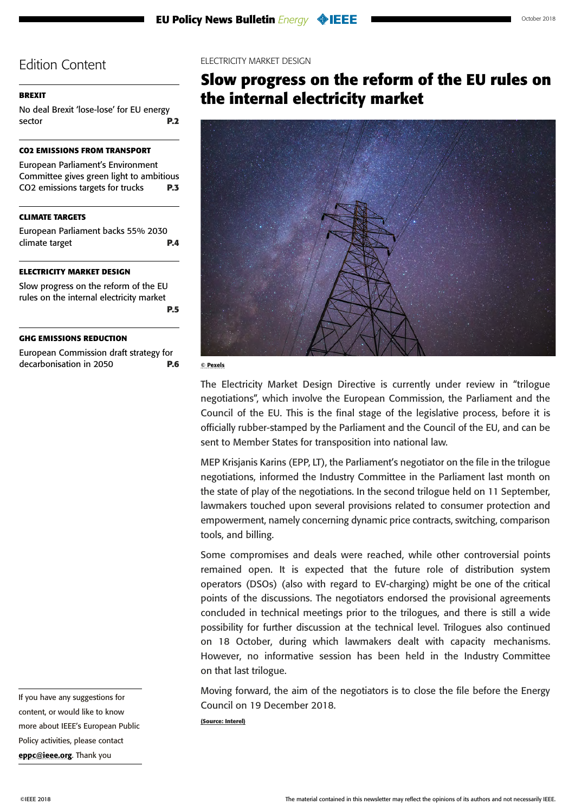#### <span id="page-4-0"></span>**[BREXIT](#page-1-0)**

[No deal Brexit 'lose-lose' for EU energy](#page-1-0)  [sector](#page-1-0) **P.2**

### **[CO2 EMISSIONS FROM TRANSPORT](#page-2-0)**

[European Parliament's Environment](#page-2-0)  [Committee gives green light to ambitious](#page-2-0)  [CO2 emissions targets for trucks](#page-2-0) **P.3**

### **[CLIMATE TARGETS](#page-3-0)**

[European Parliament backs 55% 2030](#page-3-0)  [climate target](#page-3-0) **P.4**

#### **ELECTRICITY MARKET DESIGN**

Slow progress on the reform of the EU rules on the internal electricity market **P.5**

#### **[GHG EMISSIONS REDUCTION](#page-5-0)**

[European Commission draft strategy for](#page-5-0)  [decarbonisation in 2050](#page-5-0) **P.6**

If you have any suggestions for content, or would like to know more about IEEE's European Public Policy activities, please contact [eppc@ieee.org](mailto:eppc%40ieee.org?subject=). Thank you

#### ELECTRICITY MARKET DESIGN

## **Slow progress on the reform of the EU rules on the internal electricity market**



© Pexels

The Electricity Market Design Directive is currently under review in "trilogue negotiations", which involve the European Commission, the Parliament and the Council of the EU. This is the final stage of the legislative process, before it is officially rubber-stamped by the Parliament and the Council of the EU, and can be sent to Member States for transposition into national law.

MEP Krisjanis Karins (EPP, LT), the Parliament's negotiator on the file in the trilogue negotiations, informed the Industry Committee in the Parliament last month on the state of play of the negotiations. In the second trilogue held on 11 September, lawmakers touched upon several provisions related to consumer protection and empowerment, namely concerning dynamic price contracts, switching, comparison tools, and billing.

Some compromises and deals were reached, while other controversial points remained open. It is expected that the future role of distribution system operators (DSOs) (also with regard to EV-charging) might be one of the critical points of the discussions. The negotiators endorsed the provisional agreements concluded in technical meetings prior to the trilogues, and there is still a wide possibility for further discussion at the technical level. Trilogues also continued on 18 October, during which lawmakers dealt with capacity mechanisms. However, no informative session has been held in the Industry Committee on that last trilogue.

Moving forward, the aim of the negotiators is to close the file before the Energy Council on 19 December 2018.

**(Source: Interel)**